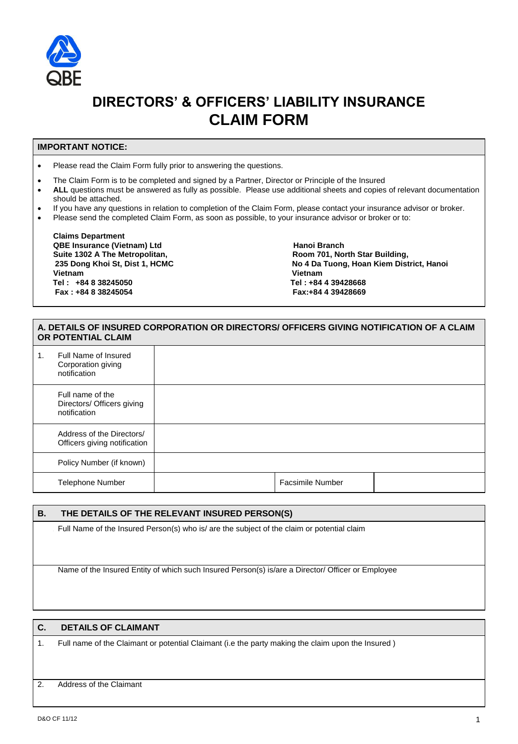

# **DIRECTORS' & OFFICERS' LIABILITY INSURANCE CLAIM FORM**

#### **IMPORTANT NOTICE:**

• Please read the Claim Form fully prior to answering the questions.

- The Claim Form is to be completed and signed by a Partner, Director or Principle of the Insured
- **ALL** questions must be answered as fully as possible. Please use additional sheets and copies of relevant documentation should be attached.
- If you have any questions in relation to completion of the Claim Form, please contact your insurance advisor or broker.
- Please send the completed Claim Form, as soon as possible, to your insurance advisor or broker or to:

**Claims Department QBE Insurance (Vietnam) Ltd device and the Connect Connect Area Hanoi Branch Area Suilding, and Suilding and Suilding and Suilding and Suilding and Suilding and Suilding and Suilding and Suilding and Suilding and Suilding Suite 1302 A The Metropolitan, Vietnam Vietnam Tel : +84 8 38245050 Tel : +84 4 39428668 Fax : +84 8 38245054 Fax:+84 4 39428669** 

 **235 Dong Khoi St, Dist 1, HCMC No 4 Da Tuong, Hoan Kiem District, Hanoi**

## **A. DETAILS OF INSURED CORPORATION OR DIRECTORS/ OFFICERS GIVING NOTIFICATION OF A CLAIM OR POTENTIAL CLAIM**

| 1. | Full Name of Insured<br>Corporation giving<br>notification     |                  |  |
|----|----------------------------------------------------------------|------------------|--|
|    | Full name of the<br>Directors/ Officers giving<br>notification |                  |  |
|    | Address of the Directors/<br>Officers giving notification      |                  |  |
|    | Policy Number (if known)                                       |                  |  |
|    | <b>Telephone Number</b>                                        | Facsimile Number |  |

**B. THE DETAILS OF THE RELEVANT INSURED PERSON(S)** 

**Full Name of the Insured Person(s) who is/ are the subject of the claim or potential claim** 

Name of the Insured Entity of which such Insured Person(s) is/are a Director/ Officer or Employee

#### **C. DETAILS OF CLAIMANT**

1. Full name of the Claimant or potential Claimant (i.e the party making the claim upon the Insured )

#### 2. Address of the Claimant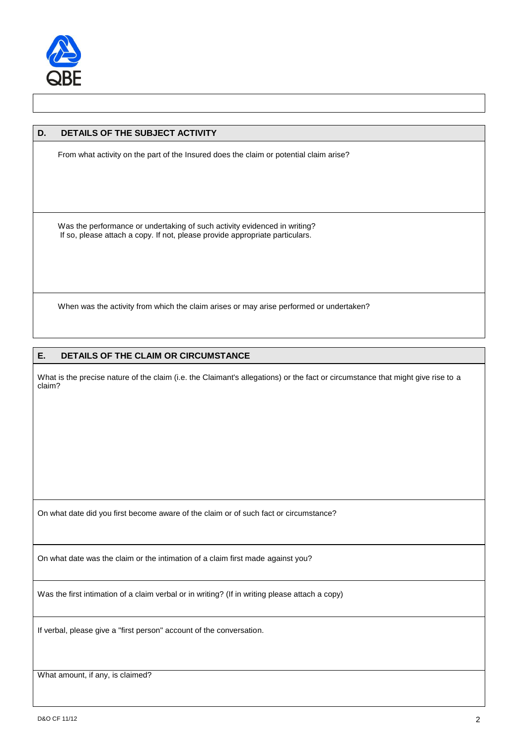

## **D. DETAILS OF THE SUBJECT ACTIVITY**

From what activity on the part of the Insured does the claim or potential claim arise?

Was the performance or undertaking of such activity evidenced in writing? If so, please attach a copy. If not, please provide appropriate particulars.

When was the activity from which the claim arises or may arise performed or undertaken?

### **E. DETAILS OF THE CLAIM OR CIRCUMSTANCE**

What is the precise nature of the claim (i.e. the Claimant's allegations) or the fact or circumstance that might give rise to a claim?

On what date did you first become aware of the claim or of such fact or circumstance?

On what date was the claim or the intimation of a claim first made against you?

Was the first intimation of a claim verbal or in writing? (If in writing please attach a copy)

If verbal, please give a "first person" account of the conversation.

What amount, if any, is claimed?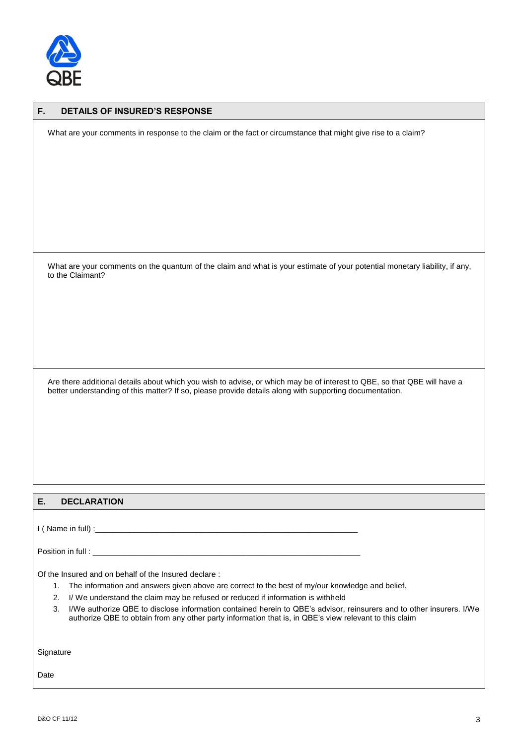

| F.<br><b>DETAILS OF INSURED'S RESPONSE</b>                                                                                                                                                                                                                                                                                                                                                                                                                                                     |
|------------------------------------------------------------------------------------------------------------------------------------------------------------------------------------------------------------------------------------------------------------------------------------------------------------------------------------------------------------------------------------------------------------------------------------------------------------------------------------------------|
| What are your comments in response to the claim or the fact or circumstance that might give rise to a claim?                                                                                                                                                                                                                                                                                                                                                                                   |
|                                                                                                                                                                                                                                                                                                                                                                                                                                                                                                |
|                                                                                                                                                                                                                                                                                                                                                                                                                                                                                                |
|                                                                                                                                                                                                                                                                                                                                                                                                                                                                                                |
| What are your comments on the quantum of the claim and what is your estimate of your potential monetary liability, if any,<br>to the Claimant?                                                                                                                                                                                                                                                                                                                                                 |
|                                                                                                                                                                                                                                                                                                                                                                                                                                                                                                |
|                                                                                                                                                                                                                                                                                                                                                                                                                                                                                                |
|                                                                                                                                                                                                                                                                                                                                                                                                                                                                                                |
| Are there additional details about which you wish to advise, or which may be of interest to QBE, so that QBE will have a<br>better understanding of this matter? If so, please provide details along with supporting documentation.                                                                                                                                                                                                                                                            |
|                                                                                                                                                                                                                                                                                                                                                                                                                                                                                                |
|                                                                                                                                                                                                                                                                                                                                                                                                                                                                                                |
|                                                                                                                                                                                                                                                                                                                                                                                                                                                                                                |
| Е.<br><b>DECLARATION</b>                                                                                                                                                                                                                                                                                                                                                                                                                                                                       |
|                                                                                                                                                                                                                                                                                                                                                                                                                                                                                                |
|                                                                                                                                                                                                                                                                                                                                                                                                                                                                                                |
| Of the Insured and on behalf of the Insured declare:<br>The information and answers given above are correct to the best of my/our knowledge and belief.<br>1.<br>I/ We understand the claim may be refused or reduced if information is withheld<br>2.<br>3.<br>I/We authorize QBE to disclose information contained herein to QBE's advisor, reinsurers and to other insurers. I/We<br>authorize QBE to obtain from any other party information that is, in QBE's view relevant to this claim |
| Signature                                                                                                                                                                                                                                                                                                                                                                                                                                                                                      |
| Date                                                                                                                                                                                                                                                                                                                                                                                                                                                                                           |